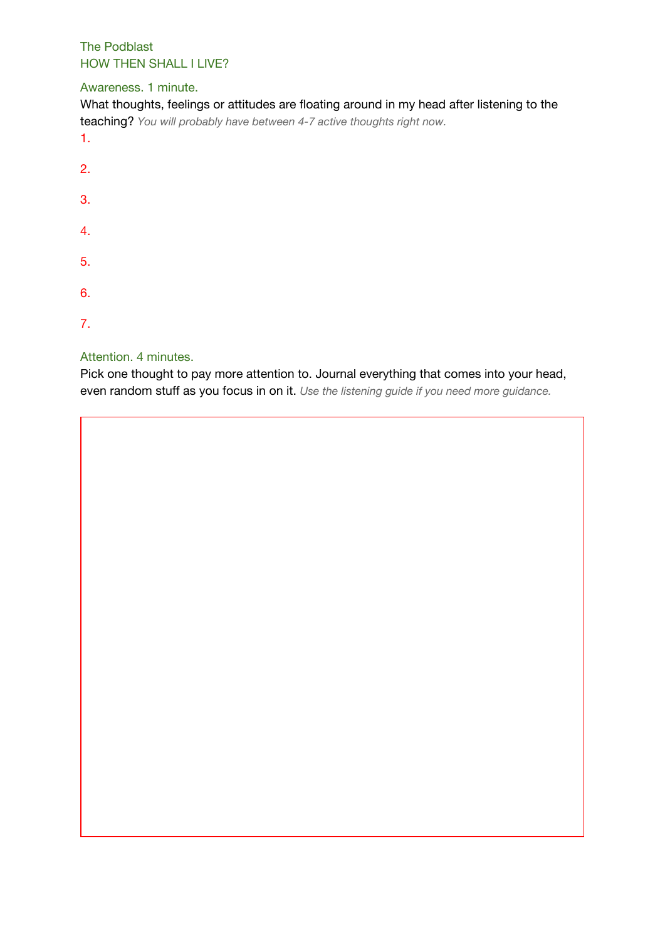The Podblast HOW THEN SHALL I LIVE?

## Awareness. 1 minute.

| What thoughts, feelings or attitudes are floating around in my head after listening to the<br>teaching? You will probably have between 4-7 active thoughts right now.<br>1. |  |
|-----------------------------------------------------------------------------------------------------------------------------------------------------------------------------|--|
| -2.                                                                                                                                                                         |  |
| 3.                                                                                                                                                                          |  |
| 4.                                                                                                                                                                          |  |
| -5.                                                                                                                                                                         |  |

- 6.
- 7.

## Attention. 4 minutes.

Pick one thought to pay more attention to. Journal everything that comes into your head, even random stuff as you focus in on it. *Use the listening guide if you need more guidance.*